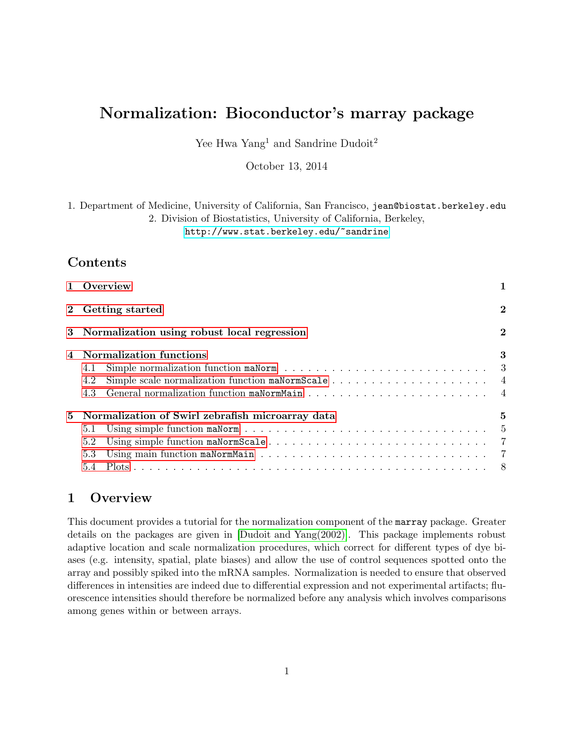# Normalization: Bioconductor's marray package

Yee Hwa Yang<sup>1</sup> and Sandrine Dudoit<sup>2</sup>

October 13, 2014

1. Department of Medicine, University of California, San Francisco, jean@biostat.berkeley.edu 2. Division of Biostatistics, University of California, Berkeley,

<http://www.stat.berkeley.edu/~sandrine>

# Contents

| 1 Overview                                                              |                |
|-------------------------------------------------------------------------|----------------|
| 2 Getting started                                                       | $\bf{2}$       |
| 3 Normalization using robust local regression                           | $\overline{2}$ |
| Normalization functions<br>4.1<br>4.2                                   | 3              |
| 5 Normalization of Swirl zebrafish microarray data<br>5.1<br>5.2<br>5.3 | 5              |
|                                                                         |                |

# <span id="page-0-0"></span>1 Overview

This document provides a tutorial for the normalization component of the marray package. Greater details on the packages are given in [\[Dudoit and Yang\(2002\)\]](#page-9-0). This package implements robust adaptive location and scale normalization procedures, which correct for different types of dye biases (e.g. intensity, spatial, plate biases) and allow the use of control sequences spotted onto the array and possibly spiked into the mRNA samples. Normalization is needed to ensure that observed differences in intensities are indeed due to differential expression and not experimental artifacts; fluorescence intensities should therefore be normalized before any analysis which involves comparisons among genes within or between arrays.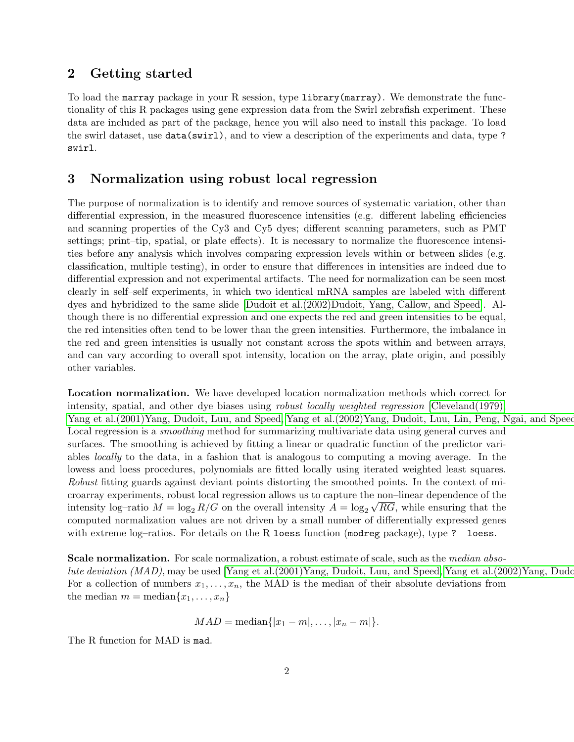## <span id="page-1-0"></span>2 Getting started

To load the marray package in your R session, type library(marray). We demonstrate the functionality of this R packages using gene expression data from the Swirl zebrafish experiment. These data are included as part of the package, hence you will also need to install this package. To load the swirl dataset, use data(swirl), and to view a description of the experiments and data, type ? swirl.

## <span id="page-1-1"></span>3 Normalization using robust local regression

The purpose of normalization is to identify and remove sources of systematic variation, other than differential expression, in the measured fluorescence intensities (e.g. different labeling efficiencies and scanning properties of the Cy3 and Cy5 dyes; different scanning parameters, such as PMT settings; print–tip, spatial, or plate effects). It is necessary to normalize the fluorescence intensities before any analysis which involves comparing expression levels within or between slides (e.g. classification, multiple testing), in order to ensure that differences in intensities are indeed due to differential expression and not experimental artifacts. The need for normalization can be seen most clearly in self–self experiments, in which two identical mRNA samples are labeled with different dyes and hybridized to the same slide [\[Dudoit et al.\(2002\)Dudoit, Yang, Callow, and Speed\]](#page-9-1). Although there is no differential expression and one expects the red and green intensities to be equal, the red intensities often tend to be lower than the green intensities. Furthermore, the imbalance in the red and green intensities is usually not constant across the spots within and between arrays, and can vary according to overall spot intensity, location on the array, plate origin, and possibly other variables.

Location normalization. We have developed location normalization methods which correct for intensity, spatial, and other dye biases using *robust locally weighted regression* [\[Cleveland\(1979\),](#page-9-2) [Yang et al.\(2001\)Yang, Dudoit, Luu, and Speed,](#page-9-3) Yang et al.(2002)Yang, Dudoit, Luu, Lin, Peng, Ngai, and Speed Local regression is a *smoothing* method for summarizing multivariate data using general curves and surfaces. The smoothing is achieved by fitting a linear or quadratic function of the predictor variables locally to the data, in a fashion that is analogous to computing a moving average. In the lowess and loess procedures, polynomials are fitted locally using iterated weighted least squares. Robust fitting guards against deviant points distorting the smoothed points. In the context of microarray experiments, robust local regression allows us to capture the non–linear dependence of the √ intensity log-ratio  $M = \log_2 R/G$  on the overall intensity  $A = \log_2 \sqrt{RG}$ , while ensuring that the computed normalization values are not driven by a small number of differentially expressed genes with extreme log-ratios. For details on the R loess function (modreg package), type ? loess.

Scale normalization. For scale normalization, a robust estimate of scale, such as the median absolute deviation  $(MAD)$ , may be used [Yang et al. $(2001)$ Yang, Dudoit, Luu, and Speed, Yang et al. $(2002)$ Yang, Dudoit, For a collection of numbers  $x_1, \ldots, x_n$ , the MAD is the median of their absolute deviations from the median  $m = \text{median}\{x_1, \ldots, x_n\}$ 

$$
MAD = \text{median}\{|x_1 - m|, \ldots, |x_n - m|\}.
$$

The R function for MAD is mad.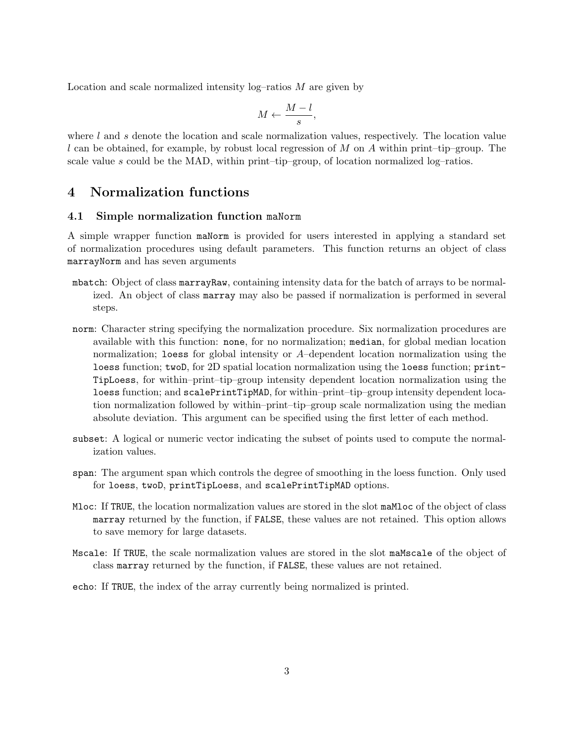Location and scale normalized intensity  $log$ -ratios  $M$  are given by

$$
M \leftarrow \frac{M-l}{s},
$$

where  $l$  and  $s$  denote the location and scale normalization values, respectively. The location value l can be obtained, for example, by robust local regression of M on A within print–tip–group. The scale value s could be the MAD, within print–tip–group, of location normalized log–ratios.

# <span id="page-2-0"></span>4 Normalization functions

#### <span id="page-2-1"></span>4.1 Simple normalization function maNorm

A simple wrapper function maNorm is provided for users interested in applying a standard set of normalization procedures using default parameters. This function returns an object of class marrayNorm and has seven arguments

- mbatch: Object of class marrayRaw, containing intensity data for the batch of arrays to be normalized. An object of class marray may also be passed if normalization is performed in several steps.
- norm: Character string specifying the normalization procedure. Six normalization procedures are available with this function: none, for no normalization; median, for global median location normalization; loess for global intensity or  $A$ –dependent location normalization using the loess function; twoD, for 2D spatial location normalization using the loess function; print-TipLoess, for within–print–tip–group intensity dependent location normalization using the loess function; and scalePrintTipMAD, for within–print–tip–group intensity dependent location normalization followed by within–print–tip–group scale normalization using the median absolute deviation. This argument can be specified using the first letter of each method.
- subset: A logical or numeric vector indicating the subset of points used to compute the normalization values.
- span: The argument span which controls the degree of smoothing in the loess function. Only used for loess, twoD, printTipLoess, and scalePrintTipMAD options.
- Mloc: If TRUE, the location normalization values are stored in the slot maMloc of the object of class marray returned by the function, if FALSE, these values are not retained. This option allows to save memory for large datasets.
- Mscale: If TRUE, the scale normalization values are stored in the slot maMscale of the object of class marray returned by the function, if FALSE, these values are not retained.
- echo: If TRUE, the index of the array currently being normalized is printed.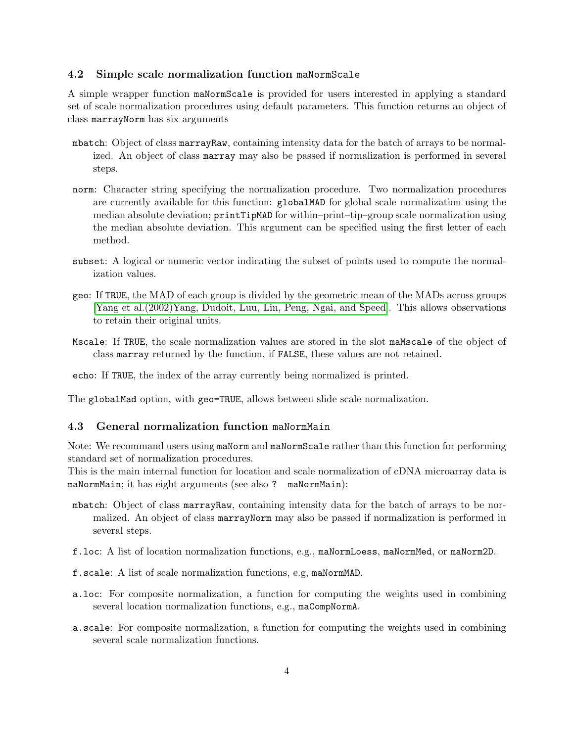#### <span id="page-3-0"></span>4.2 Simple scale normalization function maNormScale

A simple wrapper function maNormScale is provided for users interested in applying a standard set of scale normalization procedures using default parameters. This function returns an object of class marrayNorm has six arguments

- mbatch: Object of class marrayRaw, containing intensity data for the batch of arrays to be normalized. An object of class marray may also be passed if normalization is performed in several steps.
- norm: Character string specifying the normalization procedure. Two normalization procedures are currently available for this function: globalMAD for global scale normalization using the median absolute deviation; printTipMAD for within–print–tip–group scale normalization using the median absolute deviation. This argument can be specified using the first letter of each method.
- subset: A logical or numeric vector indicating the subset of points used to compute the normalization values.
- geo: If TRUE, the MAD of each group is divided by the geometric mean of the MADs across groups [\[Yang et al.\(2002\)Yang, Dudoit, Luu, Lin, Peng, Ngai, and Speed\]](#page-10-0). This allows observations to retain their original units.
- Mscale: If TRUE, the scale normalization values are stored in the slot maMscale of the object of class marray returned by the function, if FALSE, these values are not retained.
- echo: If TRUE, the index of the array currently being normalized is printed.

The globalMad option, with geo=TRUE, allows between slide scale normalization.

#### <span id="page-3-1"></span>4.3 General normalization function maNormMain

Note: We recommand users using maNorm and maNormScale rather than this function for performing standard set of normalization procedures.

This is the main internal function for location and scale normalization of cDNA microarray data is maNormMain; it has eight arguments (see also ? maNormMain):

- mbatch: Object of class marrayRaw, containing intensity data for the batch of arrays to be normalized. An object of class marrayNorm may also be passed if normalization is performed in several steps.
- f.loc: A list of location normalization functions, e.g., maNormLoess, maNormMed, or maNorm2D.
- f.scale: A list of scale normalization functions, e.g, maNormMAD.
- a.loc: For composite normalization, a function for computing the weights used in combining several location normalization functions, e.g., maCompNormA.
- a.scale: For composite normalization, a function for computing the weights used in combining several scale normalization functions.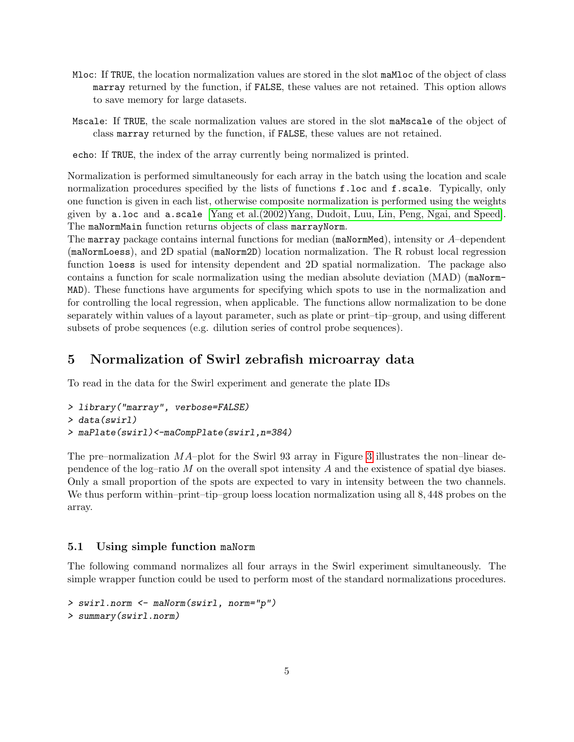- Mloc: If TRUE, the location normalization values are stored in the slot maMloc of the object of class marray returned by the function, if FALSE, these values are not retained. This option allows to save memory for large datasets.
- Mscale: If TRUE, the scale normalization values are stored in the slot maMscale of the object of class marray returned by the function, if FALSE, these values are not retained.

echo: If TRUE, the index of the array currently being normalized is printed.

Normalization is performed simultaneously for each array in the batch using the location and scale normalization procedures specified by the lists of functions f.loc and f.scale. Typically, only one function is given in each list, otherwise composite normalization is performed using the weights given by a.loc and a.scale [\[Yang et al.\(2002\)Yang, Dudoit, Luu, Lin, Peng, Ngai, and Speed\]](#page-10-0). The maNormMain function returns objects of class marrayNorm.

The marray package contains internal functions for median (maNormMed), intensity or  $A$ –dependent (maNormLoess), and 2D spatial (maNorm2D) location normalization. The R robust local regression function loess is used for intensity dependent and 2D spatial normalization. The package also contains a function for scale normalization using the median absolute deviation (MAD) (maNorm-MAD). These functions have arguments for specifying which spots to use in the normalization and for controlling the local regression, when applicable. The functions allow normalization to be done separately within values of a layout parameter, such as plate or print–tip–group, and using different subsets of probe sequences (e.g. dilution series of control probe sequences).

### <span id="page-4-0"></span>5 Normalization of Swirl zebrafish microarray data

To read in the data for the Swirl experiment and generate the plate IDs

```
> library("marray", verbose=FALSE)
> data(swirl)
> maPlate(swirl)<-maCompPlate(swirl,n=384)
```
The pre–normalization  $MA$ –plot for the Swirl 93 array in Figure [3](#page-9-4) illustrates the non–linear dependence of the log–ratio  $M$  on the overall spot intensity  $A$  and the existence of spatial dye biases. Only a small proportion of the spots are expected to vary in intensity between the two channels. We thus perform within–print–tip–group loess location normalization using all 8,448 probes on the array.

#### <span id="page-4-1"></span>5.1 Using simple function maNorm

The following command normalizes all four arrays in the Swirl experiment simultaneously. The simple wrapper function could be used to perform most of the standard normalizations procedures.

```
> swirl.norm <- maNorm(swirl, norm="p")
> summary(swirl.norm)
```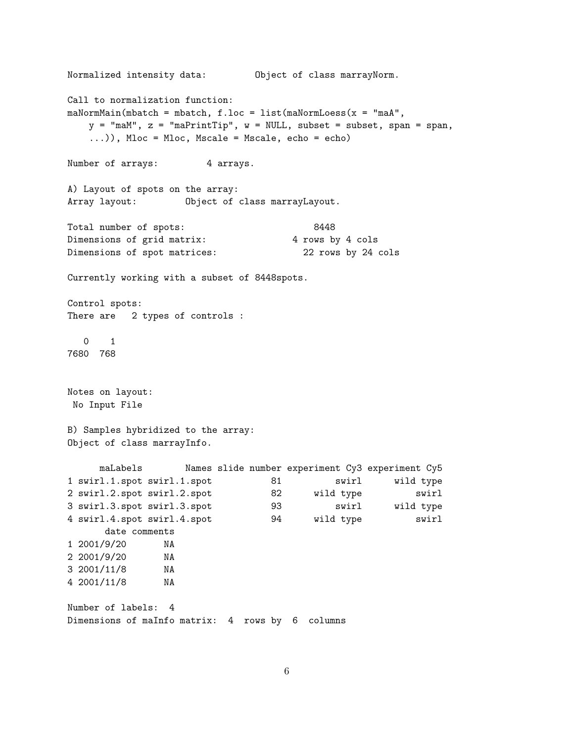```
Normalized intensity data: Object of class marrayNorm.
Call to normalization function:
m\Delta NormMain(mbatch = mbatch, f.loc = list(maNormLoess(x = "maA",
   y = "maM", z = "maPrintTip", w = NULL, subset = subset, span = span,...)), Mloc = Mloc, Mscale = Mscale, echo = echo)
Number of arrays: 4 arrays.
A) Layout of spots on the array:
Array layout: Object of class marrayLayout.
Total number of spots: 8448
Dimensions of grid matrix: 4 rows by 4 cols
Dimensions of spot matrices: 22 rows by 24 cols
Currently working with a subset of 8448spots.
Control spots:
There are 2 types of controls :
  0 1
7680 768
Notes on layout:
No Input File
B) Samples hybridized to the array:
Object of class marrayInfo.
     maLabels Names slide number experiment Cy3 experiment Cy5
1 swirl.1.spot swirl.1.spot 81 swirl wild type
2 swirl.2.spot swirl.2.spot 82 wild type swirl
3 swirl.3.spot swirl.3.spot 93 swirl wild type
4 swirl.4.spot swirl.4.spot 94 wild type swirl
     date comments
1 2001/9/20 NA
2 2001/9/20 NA
3 2001/11/8 NA
4 2001/11/8 NA
Number of labels: 4
Dimensions of maInfo matrix: 4 rows by 6 columns
```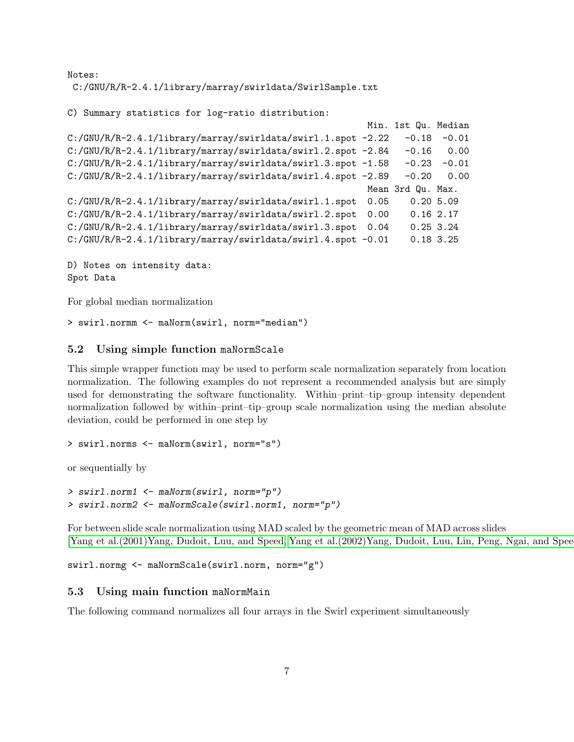Notes: C:/GNU/R/R-2.4.1/library/marray/swirldata/SwirlSample.txt

```
C) Summary statistics for log-ratio distribution:
```

```
Min. 1st Qu. Median
C:/GNU/R/R-2.4.1/library/marray/swirldata/swirl.1.spot -2.22 -0.18 -0.01
C:/GNU/R/R-2.4.1/library/marray/swirldata/swirl.2.spot -2.84 -0.16 0.00
C:/GNU/R/R-2.4.1/library/marray/swirldata/swirl.3.spot -1.58 -0.23 -0.01
C:/GNU/R/R-2.4.1/library/marray/swirldata/swirl.4.spot -2.89 -0.20 0.00
                                                     Mean 3rd Qu. Max.
C:/GNU/R/R-2.4.1/library/marray/swirldata/swirl.1.spot 0.05 0.20 5.09
C:/GNU/R/R-2.4.1/library/marray/swirldata/swirl.2.spot 0.00 0.16 2.17
C:/GNU/R/R-2.4.1/library/marray/swirldata/swirl.3.spot 0.04 0.25 3.24
C:/GNU/R/R-2.4.1/library/marray/swirldata/swirl.4.spot -0.01 0.18 3.25
```
D) Notes on intensity data: Spot Data

For global median normalization

> swirl.normm <- maNorm(swirl, norm="median")

#### <span id="page-6-0"></span>5.2 Using simple function maNormScale

This simple wrapper function may be used to perform scale normalization separately from location normalization. The following examples do not represent a recommended analysis but are simply used for demonstrating the software functionality. Within–print–tip–group intensity dependent normalization followed by within–print–tip–group scale normalization using the median absolute deviation, could be performed in one step by

```
> swirl.norms <- maNorm(swirl, norm="s")
```
or sequentially by

```
> swirl.norm1 <- maNorm(swirl, norm="p")
> swirl.norm2 <- maNormScale(swirl.norm1, norm="p")
```
For between slide scale normalization using MAD scaled by the geometric mean of MAD across slides [\[Yang et al.\(2001\)Yang, Dudoit, Luu, and Speed,](#page-9-3) [Yang et al.\(2002\)Yang, Dudoit, Luu, Lin, Peng, Ngai, and Speed\]](#page-10-0)

```
swirl.normg <- maNormScale(swirl.norm, norm="g")
```
#### <span id="page-6-1"></span>5.3 Using main function maNormMain

The following command normalizes all four arrays in the Swirl experiment simultaneously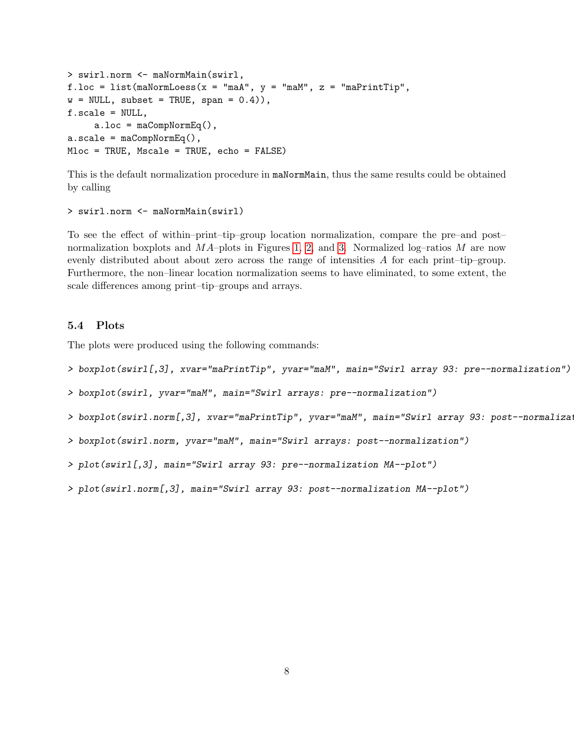```
> swirl.norm <- maNormMain(swirl,
f.loc = list(malNormLoess(x = "maA", y = "maM", z = "maPrintTip",w = NULL, subset = TRUE, span = 0.4),
f.scale = NULL,
     a.loc = maCompNormEq(),
a.scale = maCompNormEq(),
Mloc = TRUE, Mscale = TRUE, echo = FALSE)
```
This is the default normalization procedure in maNormMain, thus the same results could be obtained by calling

```
> swirl.norm <- maNormMain(swirl)
```
To see the effect of within–print–tip–group location normalization, compare the pre–and post– normalization boxplots and  $MA$ –plots in Figures [1,](#page-8-0) [2,](#page-8-1) and [3.](#page-9-4) Normalized log–ratios M are now evenly distributed about about zero across the range of intensities A for each print–tip–group. Furthermore, the non–linear location normalization seems to have eliminated, to some extent, the scale differences among print–tip–groups and arrays.

#### <span id="page-7-0"></span>5.4 Plots

The plots were produced using the following commands:

- > boxplot(swirl[,3], xvar="maPrintTip", yvar="maM", main="Swirl array 93: pre--normalization")
- > boxplot(swirl, yvar="maM", main="Swirl arrays: pre--normalization")
- > boxplot(swirl.norm[,3], xvar="maPrintTip", yvar="maM", main="Swirl array 93: post--normalization")
- > boxplot(swirl.norm, yvar="maM", main="Swirl arrays: post--normalization")
- > plot(swirl[,3], main="Swirl array 93: pre--normalization MA--plot")
- > plot(swirl.norm[,3], main="Swirl array 93: post--normalization MA--plot")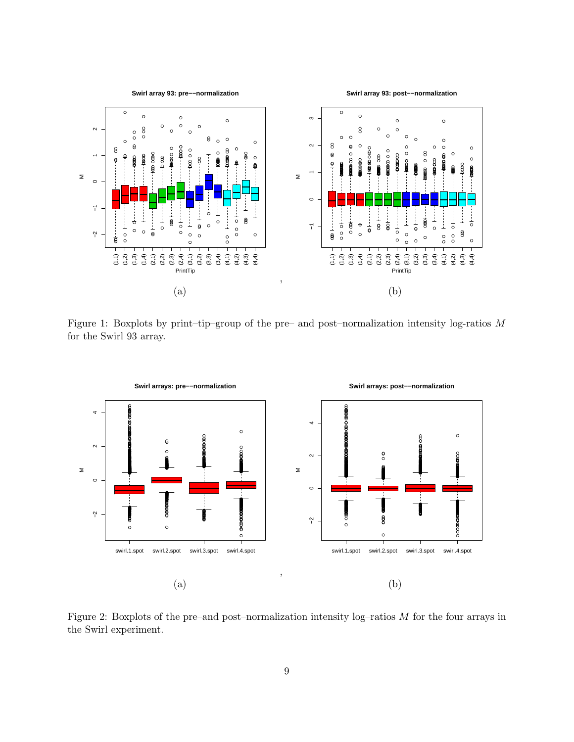

<span id="page-8-0"></span>Figure 1: Boxplots by print-tip-group of the pre- and post-normalization intensity log-ratios  $M$ for the Swirl 93 array.



<span id="page-8-1"></span>Figure 2: Boxplots of the pre-and post-normalization intensity  $log$ -ratios  $M$  for the four arrays in the Swirl experiment.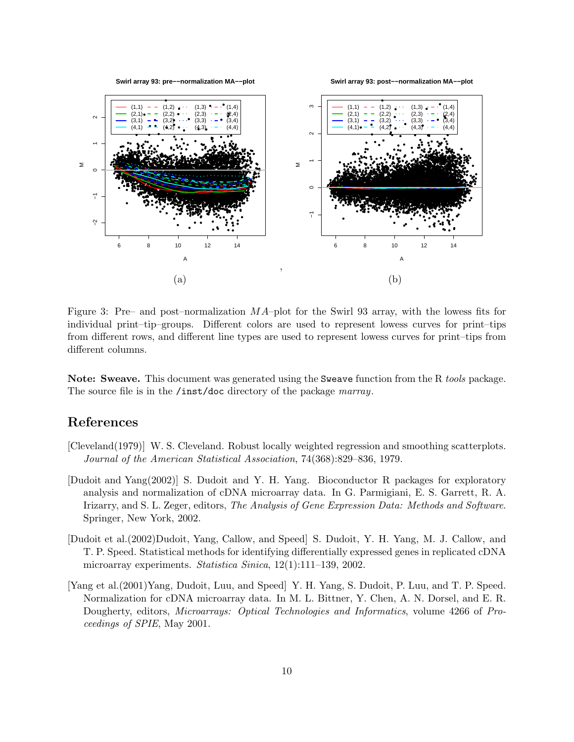

<span id="page-9-4"></span>Figure 3: Pre– and post-normalization  $MA$ -plot for the Swirl 93 array, with the lowess fits for individual print-tip-groups. Different colors are used to represent lowess curves for print-tips from different rows, and different line types are used to represent lowess curves for print-tips from different columns.

**Note: Sweave.** This document was generated using the Sweave function from the R *tools* package. The source file is in the /inst/doc directory of the package marray.

### References

- <span id="page-9-2"></span>[Cleveland(1979)] W. S. Cleveland. Robust locally weighted regression and smoothing scatterplots. Journal of the American Statistical Association, 74(368):829–836, 1979.
- <span id="page-9-0"></span>[Dudoit and Yang(2002)] S. Dudoit and Y. H. Yang. Bioconductor R packages for exploratory analysis and normalization of cDNA microarray data. In G. Parmigiani, E. S. Garrett, R. A. Irizarry, and S. L. Zeger, editors, The Analysis of Gene Expression Data: Methods and Software. Springer, New York, 2002.
- <span id="page-9-1"></span>[Dudoit et al. (2002)Dudoit, Yang, Callow, and Speed] S. Dudoit, Y. H. Yang, M. J. Callow, and T. P. Speed. Statistical methods for identifying differentially expressed genes in replicated cDNA microarray experiments. Statistica Sinica,  $12(1):111-139$ ,  $2002$ .
- <span id="page-9-3"></span>[Yang et al. (2001) Yang, Dudoit, Luu, and Speed Y. H. Yang, S. Dudoit, P. Luu, and T. P. Speed. Normalization for cDNA microarray data. In M. L. Bittner, Y. Chen, A. N. Dorsel, and E. R. Dougherty, editors, *Microarrays: Optical Technologies and Informatics*, volume 4266 of *Pro*ceedings of SPIE, May 2001.